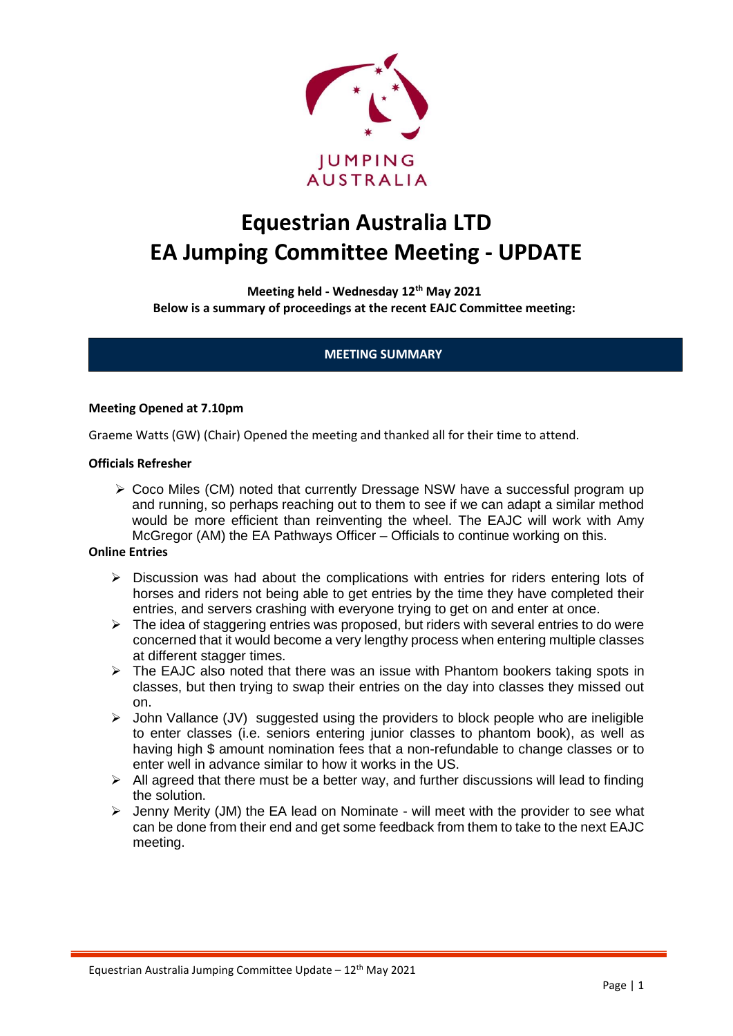

# **Equestrian Australia LTD EA Jumping Committee Meeting - UPDATE**

**Meeting held - Wednesday 12th May 2021 Below is a summary of proceedings at the recent EAJC Committee meeting:**

# **MEETING SUMMARY**

#### **Meeting Opened at 7.10pm**

Graeme Watts (GW) (Chair) Opened the meeting and thanked all for their time to attend.

#### **Officials Refresher**

➢ Coco Miles (CM) noted that currently Dressage NSW have a successful program up and running, so perhaps reaching out to them to see if we can adapt a similar method would be more efficient than reinventing the wheel. The EAJC will work with Amy McGregor (AM) the EA Pathways Officer – Officials to continue working on this.

#### **Online Entries**

- $\triangleright$  Discussion was had about the complications with entries for riders entering lots of horses and riders not being able to get entries by the time they have completed their entries, and servers crashing with everyone trying to get on and enter at once.
- $\triangleright$  The idea of staggering entries was proposed, but riders with several entries to do were concerned that it would become a very lengthy process when entering multiple classes at different stagger times.
- ➢ The EAJC also noted that there was an issue with Phantom bookers taking spots in classes, but then trying to swap their entries on the day into classes they missed out on.
- ➢ John Vallance (JV) suggested using the providers to block people who are ineligible to enter classes (i.e. seniors entering junior classes to phantom book), as well as having high \$ amount nomination fees that a non-refundable to change classes or to enter well in advance similar to how it works in the US.
- $\triangleright$  All agreed that there must be a better way, and further discussions will lead to finding the solution.
- $\triangleright$  Jenny Merity (JM) the EA lead on Nominate will meet with the provider to see what can be done from their end and get some feedback from them to take to the next EAJC meeting.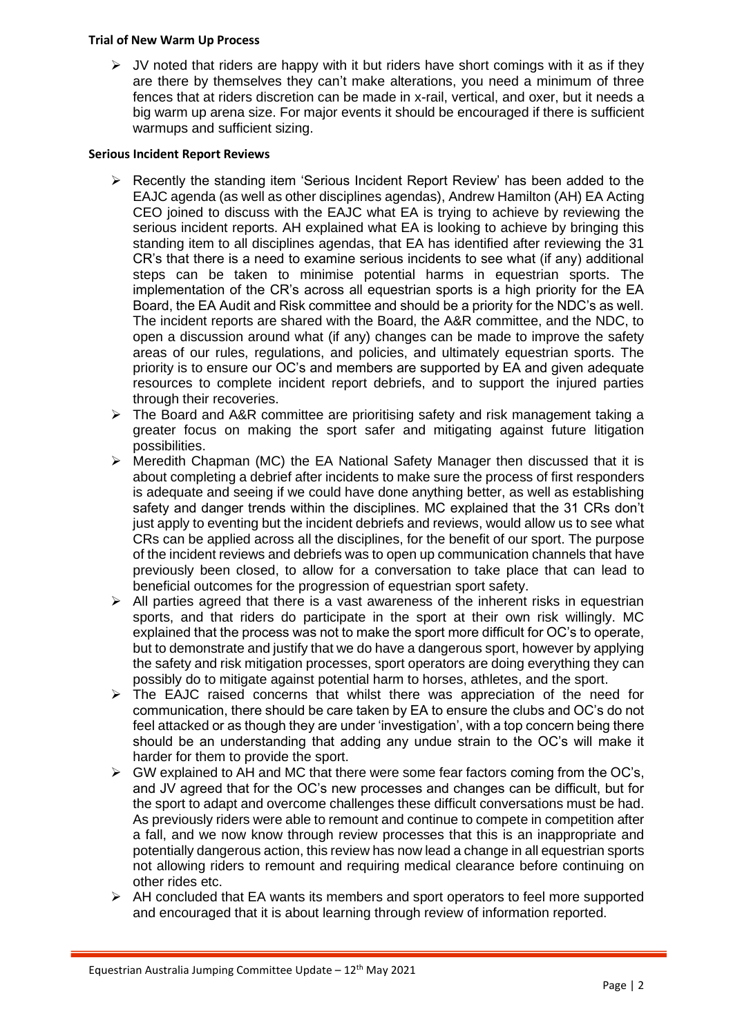### **Trial of New Warm Up Process**

 $\triangleright$  JV noted that riders are happy with it but riders have short comings with it as if they are there by themselves they can't make alterations, you need a minimum of three fences that at riders discretion can be made in x-rail, vertical, and oxer, but it needs a big warm up arena size. For major events it should be encouraged if there is sufficient warmups and sufficient sizing.

# **Serious Incident Report Reviews**

- ➢ Recently the standing item 'Serious Incident Report Review' has been added to the EAJC agenda (as well as other disciplines agendas), Andrew Hamilton (AH) EA Acting CEO joined to discuss with the EAJC what EA is trying to achieve by reviewing the serious incident reports. AH explained what EA is looking to achieve by bringing this standing item to all disciplines agendas, that EA has identified after reviewing the 31 CR's that there is a need to examine serious incidents to see what (if any) additional steps can be taken to minimise potential harms in equestrian sports. The implementation of the CR's across all equestrian sports is a high priority for the EA Board, the EA Audit and Risk committee and should be a priority for the NDC's as well. The incident reports are shared with the Board, the A&R committee, and the NDC, to open a discussion around what (if any) changes can be made to improve the safety areas of our rules, regulations, and policies, and ultimately equestrian sports. The priority is to ensure our OC's and members are supported by EA and given adequate resources to complete incident report debriefs, and to support the injured parties through their recoveries.
- ➢ The Board and A&R committee are prioritising safety and risk management taking a greater focus on making the sport safer and mitigating against future litigation possibilities.
- ➢ Meredith Chapman (MC) the EA National Safety Manager then discussed that it is about completing a debrief after incidents to make sure the process of first responders is adequate and seeing if we could have done anything better, as well as establishing safety and danger trends within the disciplines. MC explained that the 31 CRs don't just apply to eventing but the incident debriefs and reviews, would allow us to see what CRs can be applied across all the disciplines, for the benefit of our sport. The purpose of the incident reviews and debriefs was to open up communication channels that have previously been closed, to allow for a conversation to take place that can lead to beneficial outcomes for the progression of equestrian sport safety.
- $\triangleright$  All parties agreed that there is a vast awareness of the inherent risks in equestrian sports, and that riders do participate in the sport at their own risk willingly. MC explained that the process was not to make the sport more difficult for OC's to operate, but to demonstrate and justify that we do have a dangerous sport, however by applying the safety and risk mitigation processes, sport operators are doing everything they can possibly do to mitigate against potential harm to horses, athletes, and the sport.
- ➢ The EAJC raised concerns that whilst there was appreciation of the need for communication, there should be care taken by EA to ensure the clubs and OC's do not feel attacked or as though they are under 'investigation', with a top concern being there should be an understanding that adding any undue strain to the OC's will make it harder for them to provide the sport.
- $\triangleright$  GW explained to AH and MC that there were some fear factors coming from the OC's, and JV agreed that for the OC's new processes and changes can be difficult, but for the sport to adapt and overcome challenges these difficult conversations must be had. As previously riders were able to remount and continue to compete in competition after a fall, and we now know through review processes that this is an inappropriate and potentially dangerous action, this review has now lead a change in all equestrian sports not allowing riders to remount and requiring medical clearance before continuing on other rides etc.
- $\triangleright$  AH concluded that EA wants its members and sport operators to feel more supported and encouraged that it is about learning through review of information reported.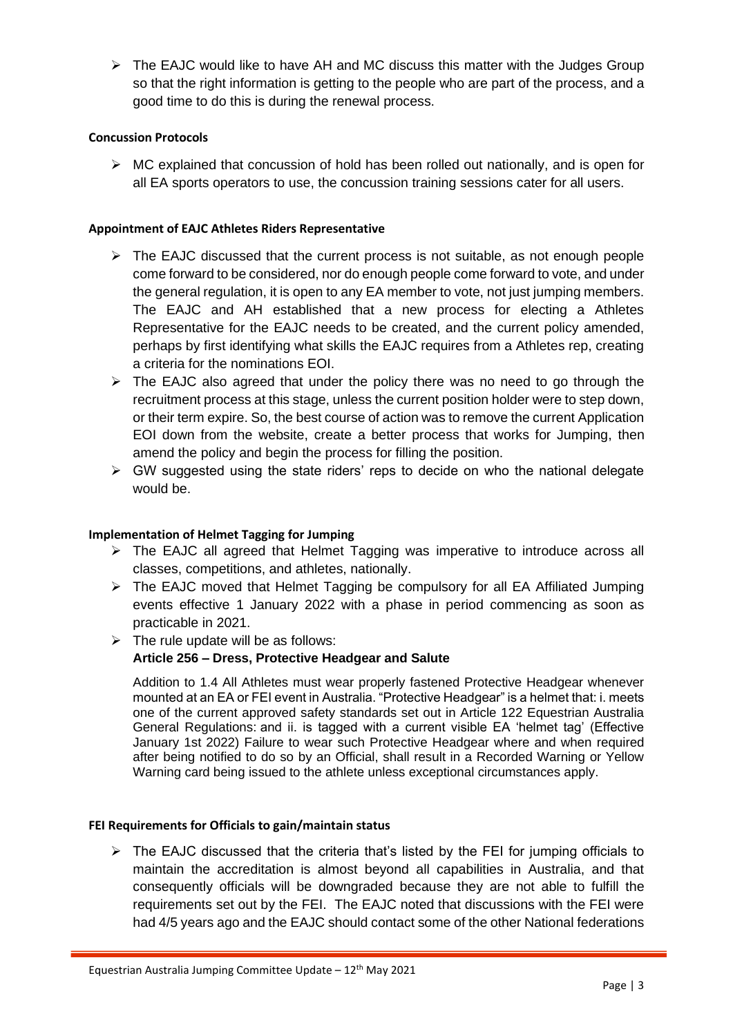➢ The EAJC would like to have AH and MC discuss this matter with the Judges Group so that the right information is getting to the people who are part of the process, and a good time to do this is during the renewal process.

# **Concussion Protocols**

 $\triangleright$  MC explained that concussion of hold has been rolled out nationally, and is open for all EA sports operators to use, the concussion training sessions cater for all users.

# **Appointment of EAJC Athletes Riders Representative**

- $\triangleright$  The EAJC discussed that the current process is not suitable, as not enough people come forward to be considered, nor do enough people come forward to vote, and under the general regulation, it is open to any EA member to vote, not just jumping members. The EAJC and AH established that a new process for electing a Athletes Representative for the EAJC needs to be created, and the current policy amended, perhaps by first identifying what skills the EAJC requires from a Athletes rep, creating a criteria for the nominations EOI.
- ➢ The EAJC also agreed that under the policy there was no need to go through the recruitment process at this stage, unless the current position holder were to step down, or their term expire. So, the best course of action was to remove the current Application EOI down from the website, create a better process that works for Jumping, then amend the policy and begin the process for filling the position.
- $\triangleright$  GW suggested using the state riders' reps to decide on who the national delegate would be.

## **Implementation of Helmet Tagging for Jumping**

- ➢ The EAJC all agreed that Helmet Tagging was imperative to introduce across all classes, competitions, and athletes, nationally.
- ➢ The EAJC moved that Helmet Tagging be compulsory for all EA Affiliated Jumping events effective 1 January 2022 with a phase in period commencing as soon as practicable in 2021.
- $\triangleright$  The rule update will be as follows:

# **Article 256 – Dress, Protective Headgear and Salute**

Addition to 1.4 All Athletes must wear properly fastened Protective Headgear whenever mounted at an EA or FEI event in Australia. "Protective Headgear" is a helmet that: i. meets one of the current approved safety standards set out in Article 122 Equestrian Australia General Regulations: and ii. is tagged with a current visible EA 'helmet tag' (Effective January 1st 2022) Failure to wear such Protective Headgear where and when required after being notified to do so by an Official, shall result in a Recorded Warning or Yellow Warning card being issued to the athlete unless exceptional circumstances apply.

## **FEI Requirements for Officials to gain/maintain status**

 $\triangleright$  The EAJC discussed that the criteria that's listed by the FEI for jumping officials to maintain the accreditation is almost beyond all capabilities in Australia, and that consequently officials will be downgraded because they are not able to fulfill the requirements set out by the FEI. The EAJC noted that discussions with the FEI were had 4/5 years ago and the EAJC should contact some of the other National federations